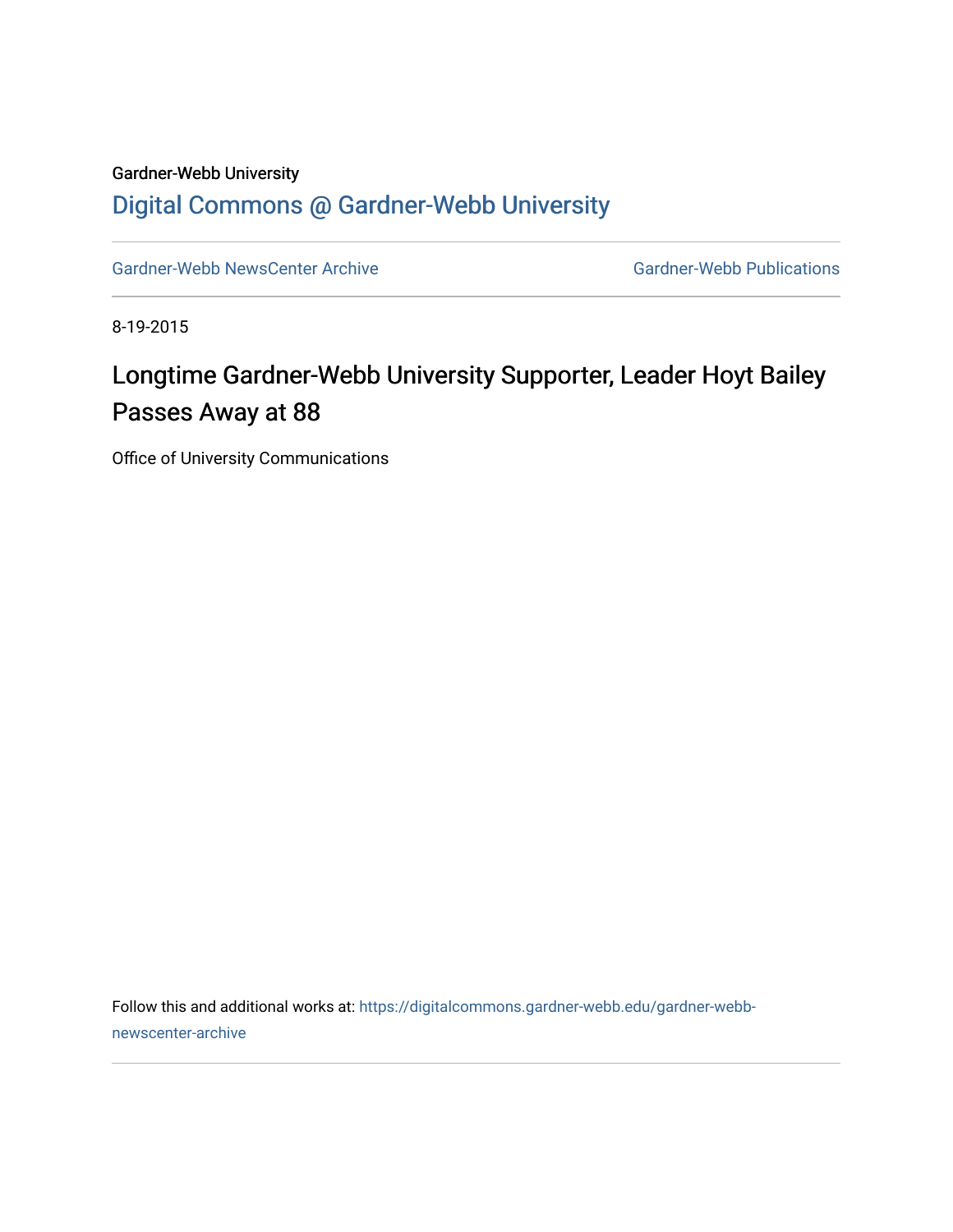## Gardner-Webb University

## [Digital Commons @ Gardner-Webb University](https://digitalcommons.gardner-webb.edu/)

[Gardner-Webb NewsCenter Archive](https://digitalcommons.gardner-webb.edu/gardner-webb-newscenter-archive) Gardner-Webb Publications

8-19-2015

## Longtime Gardner-Webb University Supporter, Leader Hoyt Bailey Passes Away at 88

Office of University Communications

Follow this and additional works at: [https://digitalcommons.gardner-webb.edu/gardner-webb](https://digitalcommons.gardner-webb.edu/gardner-webb-newscenter-archive?utm_source=digitalcommons.gardner-webb.edu%2Fgardner-webb-newscenter-archive%2F1147&utm_medium=PDF&utm_campaign=PDFCoverPages)[newscenter-archive](https://digitalcommons.gardner-webb.edu/gardner-webb-newscenter-archive?utm_source=digitalcommons.gardner-webb.edu%2Fgardner-webb-newscenter-archive%2F1147&utm_medium=PDF&utm_campaign=PDFCoverPages)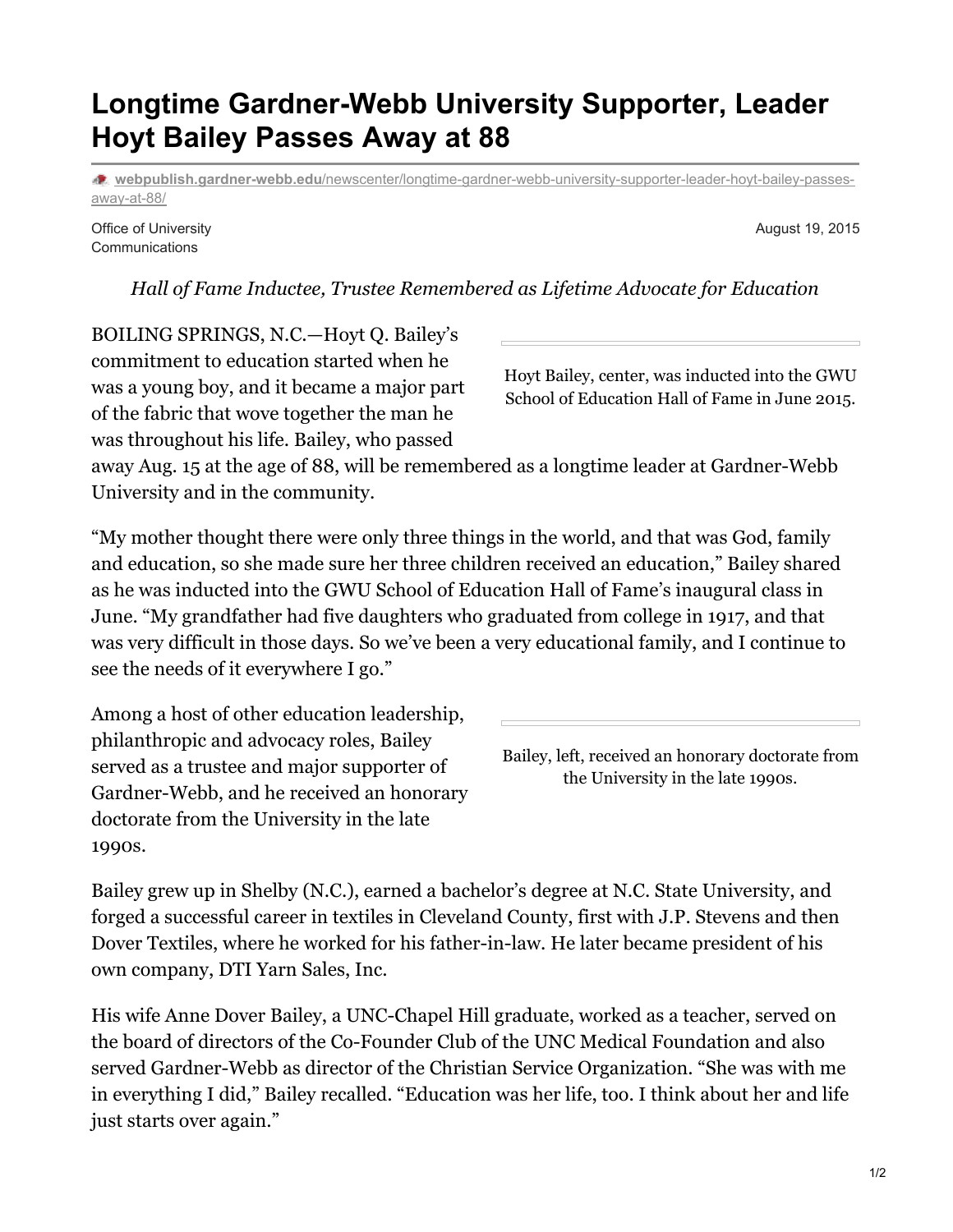1/2

## **Longtime Gardner-Webb University Supporter, Leader Hoyt Bailey Passes Away at 88**

**webpublish.gardner-webb.edu**[/newscenter/longtime-gardner-webb-university-supporter-leader-hoyt-bailey-passes](https://webpublish.gardner-webb.edu/newscenter/longtime-gardner-webb-university-supporter-leader-hoyt-bailey-passes-away-at-88/)away-at-88/

*Hall of Fame Inductee, Trustee Remembered as Lifetime Advocate for Education*

Office of University **Communications** 

BOILING SPRINGS, N.C.—Hoyt Q. Bailey's commitment to education started when he was a young boy, and it became a major part

Hoyt Bailey, center, was inducted into the GWU School of Education Hall of Fame in June 2015.

away Aug. 15 at the age of 88, will be remembered as a longtime leader at Gardner-Webb University and in the community.

"My mother thought there were only three things in the world, and that was God, family and education, so she made sure her three children received an education," Bailey shared as he was inducted into the GWU School of Education Hall of Fame's inaugural class in June. "My grandfather had five daughters who graduated from college in 1917, and that was very difficult in those days. So we've been a very educational family, and I continue to see the needs of it everywhere I go."

Among a host of other education leadership, philanthropic and advocacy roles, Bailey served as a trustee and major supporter of Gardner-Webb, and he received an honorary doctorate from the University in the late 1990s.

of the fabric that wove together the man he was throughout his life. Bailey, who passed

Bailey grew up in Shelby (N.C.), earned a bachelor's degree at N.C. State University, and forged a successful career in textiles in Cleveland County, first with J.P. Stevens and then Dover Textiles, where he worked for his father-in-law. He later became president of his own company, DTI Yarn Sales, Inc.

His wife Anne Dover Bailey, a UNC-Chapel Hill graduate, worked as a teacher, served on the board of directors of the Co-Founder Club of the UNC Medical Foundation and also served Gardner-Webb as director of the Christian Service Organization. "She was with me in everything I did," Bailey recalled. "Education was her life, too. I think about her and life just starts over again."

August 19, 2015

Bailey, left, received an honorary doctorate from

the University in the late 1990s.